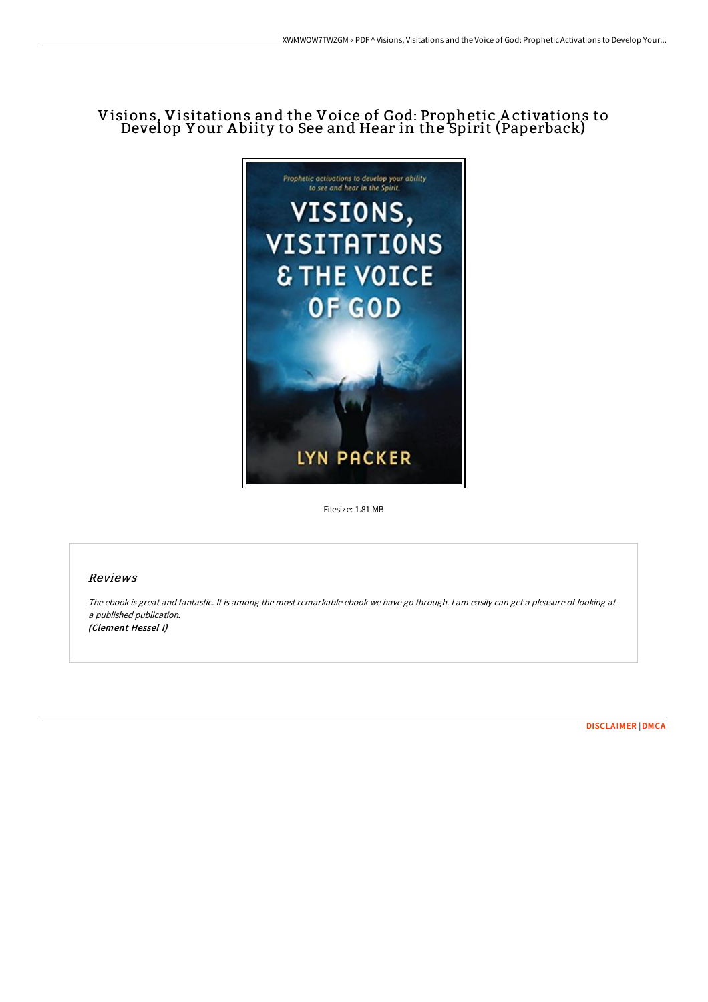# Visions, Visitations and the Voice of God: Prophetic A ctivations to Develop Y our A biity to See and Hear in the Spirit (Paperback)



Filesize: 1.81 MB

# Reviews

The ebook is great and fantastic. It is among the most remarkable ebook we have go through. <sup>I</sup> am easily can get <sup>a</sup> pleasure of looking at <sup>a</sup> published publication. (Clement Hessel I)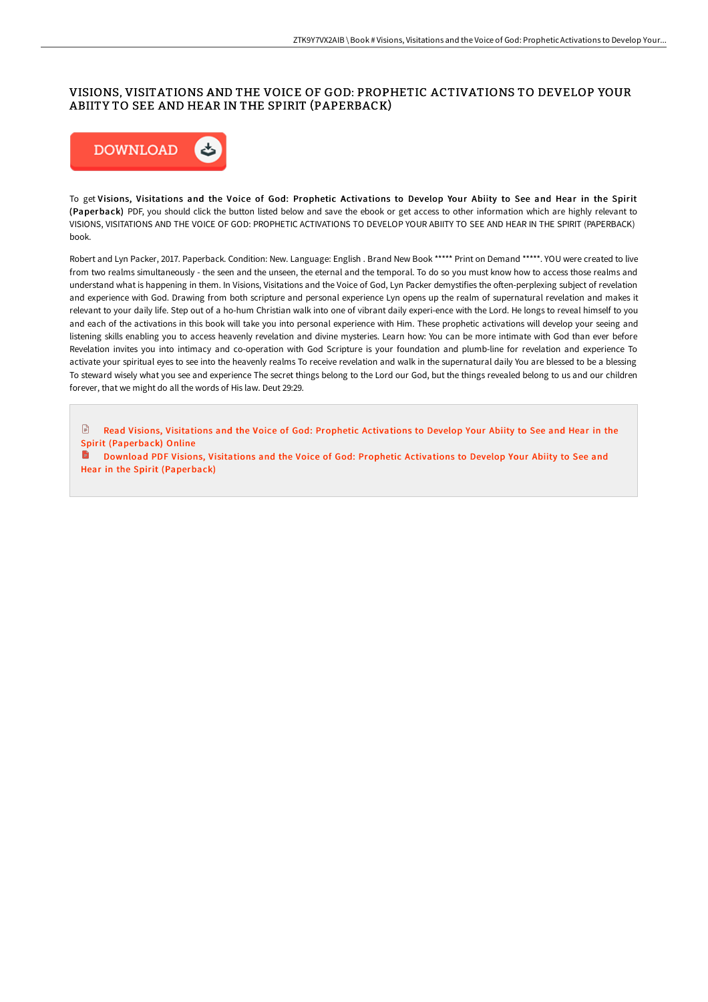# VISIONS, VISITATIONS AND THE VOICE OF GOD: PROPHETIC ACTIVATIONS TO DEVELOP YOUR ABIITY TO SEE AND HEAR IN THE SPIRIT (PAPERBACK)



To get Visions, Visitations and the Voice of God: Prophetic Activations to Develop Your Abiity to See and Hear in the Spirit (Paperback) PDF, you should click the button listed below and save the ebook or get access to other information which are highly relevant to VISIONS, VISITATIONS AND THE VOICE OF GOD: PROPHETIC ACTIVATIONS TO DEVELOP YOUR ABIITY TO SEE AND HEAR IN THE SPIRIT (PAPERBACK) book.

Robert and Lyn Packer, 2017. Paperback. Condition: New. Language: English . Brand New Book \*\*\*\*\* Print on Demand \*\*\*\*\*. YOU were created to live from two realms simultaneously - the seen and the unseen, the eternal and the temporal. To do so you must know how to access those realms and understand what is happening in them. In Visions, Visitations and the Voice of God, Lyn Packer demystifies the often-perplexing subject of revelation and experience with God. Drawing from both scripture and personal experience Lyn opens up the realm of supernatural revelation and makes it relevant to your daily life. Step out of a ho-hum Christian walk into one of vibrant daily experi-ence with the Lord. He longs to reveal himself to you and each of the activations in this book will take you into personal experience with Him. These prophetic activations will develop your seeing and listening skills enabling you to access heavenly revelation and divine mysteries. Learn how: You can be more intimate with God than ever before Revelation invites you into intimacy and co-operation with God Scripture is your foundation and plumb-line for revelation and experience To activate your spiritual eyes to see into the heavenly realms To receive revelation and walk in the supernatural daily You are blessed to be a blessing To steward wisely what you see and experience The secret things belong to the Lord our God, but the things revealed belong to us and our children forever, that we might do all the words of His law. Deut 29:29.

 $\blacksquare$ Read Visions, Visitations and the Voice of God: Prophetic Activations to Develop Your Abiity to See and Hear in the Spirit [\(Paperback\)](http://techno-pub.tech/visions-visitations-and-the-voice-of-god-prophet.html) Online

**D** Download PDF Visions, Visitations and the Voice of God: Prophetic Activations to Develop Your Abiity to See and Hear in the Spirit [\(Paperback\)](http://techno-pub.tech/visions-visitations-and-the-voice-of-god-prophet.html)